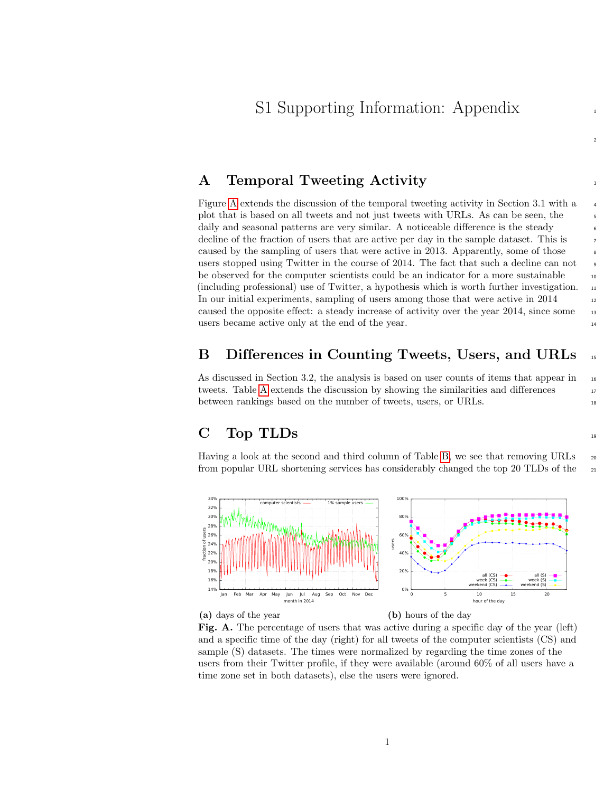2

### A Temporal Tweeting Activity

Figure [A](#page-0-0) extends the discussion of the temporal tweeting activity in Section 3.1 with a <sup>4</sup> plot that is based on all tweets and not just tweets with URLs. As can be seen, the daily and seasonal patterns are very similar. A noticeable difference is the steady decline of the fraction of users that are active per day in the sample dataset. This is caused by the sampling of users that were active in 2013. Apparently, some of those users stopped using Twitter in the course of 2014. The fact that such a decline can not be observed for the computer scientists could be an indicator for a more sustainable  $\qquad \qquad$ (including professional) use of Twitter, a hypothesis which is worth further investigation.  $_{11}$ In our initial experiments, sampling of users among those that were active in  $2014$  12 caused the opposite effect: a steady increase of activity over the year 2014, since some 13 users became active only at the end of the year.

### B Differences in Counting Tweets, Users, and URLs <sup>15</sup>

As discussed in Section 3.2, the analysis is based on user counts of items that appear in  $_{16}$ tweets. Table [A](#page-1-0) extends the discussion by showing the similarities and differences 17 between rankings based on the number of tweets, users, or URLs.

## $\text{C}$  Top TLDs  $\frac{19}{19}$

Having a look at the second and third column of Table [B,](#page-2-0) we see that removing URLs  $_{20}$ from popular URL shortening services has considerably changed the top 20 TLDs of the 21

<span id="page-0-0"></span>

(a) days of the year

(b) hours of the day

Fig. A. The percentage of users that was active during a specific day of the year (left) and a specific time of the day (right) for all tweets of the computer scientists (CS) and sample (S) datasets. The times were normalized by regarding the time zones of the users from their Twitter profile, if they were available (around 60% of all users have a time zone set in both datasets), else the users were ignored.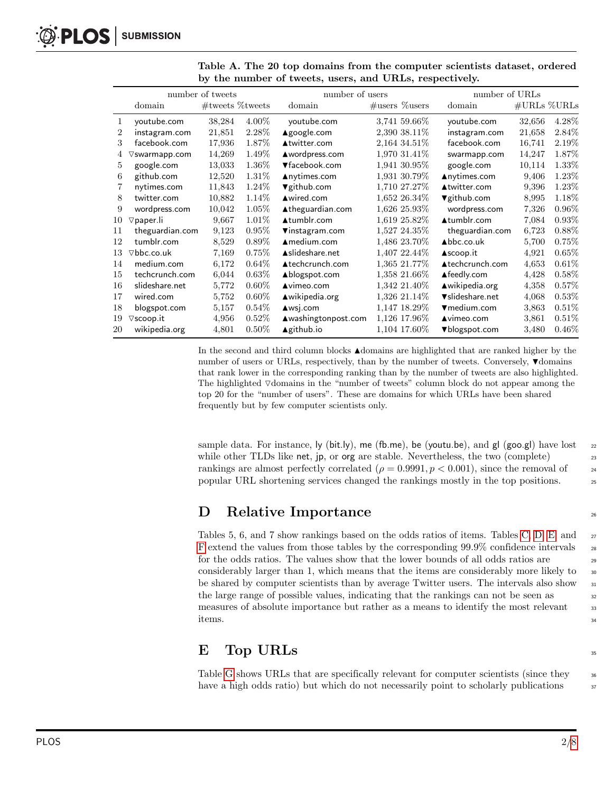| number of tweets |                          |                    |          | number of users           | number of URLs        |                       |                               |          |
|------------------|--------------------------|--------------------|----------|---------------------------|-----------------------|-----------------------|-------------------------------|----------|
|                  | domain                   | $#$ tweets %tweets |          | domain                    | $\#$ users $\%$ users | domain                | $\#\text{URLs }\%\text{URLs}$ |          |
| 1                | youtube.com              | 38,284             | $4.00\%$ | youtube.com               | 3,741 59.66%          | voutube.com           | 32,656                        | 4.28%    |
| $\overline{2}$   | instagram.com            | 21,851             | $2.28\%$ | ▲google.com               | 2,390 38.11%          | instagram.com         | 21,658                        | 2.84\%   |
| 3                | facebook.com             | 17,936             | 1.87%    | ▲twitter.com              | 2,164 34.51%          | facebook.com          | 16,741                        | $2.19\%$ |
|                  | $\nabla$ swarmapp.com    | 14,269             | 1.49\%   | ▲wordpress.com            | 1,970 31.41\%         | swarmapp.com          | 14,247                        | 1.87\%   |
| 5                | google.com               | 13,033             | 1.36%    | ▼facebook.com             | 1,941 30.95%          | google.com            | 10,114                        | $1.33\%$ |
| 6                | github.com               | 12,520             | 1.31%    | $\triangle$ nytimes.com   | 1,931 30.79%          | ▲nytimes.com          | 9,406                         | 1.23%    |
| 7                | nytimes.com              | 11,843             | 1.24\%   | $\nabla$ github.com       | 1,710 27.27%          | ▲twitter.com          | 9,396                         | 1.23%    |
| 8                | twitter.com              | 10,882             | 1.14\%   | ▲wired.com                | 1,652 26.34\%         | $\nabla$ github.com   | 8,995                         | 1.18%    |
| 9                | wordpress.com            | 10,042             | 1.05%    | ▲theguardian.com          | 1,626 25.93%          | wordpress.com         | 7,326                         | $0.96\%$ |
| 10               | $\triangledown$ paper.li | 9,667              | 1.01\%   | ▲tumblr.com               | 1,619 25.82%          | ▲tumblr.com           | 7,084                         | 0.93%    |
| 11               | theguardian.com          | 9,123              | 0.95%    | $\nabla$ instagram.com    | 1,527 24.35%          | theguardian.com       | 6,723                         | 0.88%    |
| 12               | tumblr.com               | 8,529              | $0.89\%$ | $A$ medium.com            | 1,486 23.70%          | $\triangle$ bbc.co.uk | 5,700                         | $0.75\%$ |
| 13               | $\nabla$ bbc.co.uk       | 7,169              | 0.75%    | Aslideshare.net           | 1,407 22.44\%         | ▲scoop.it             | 4,921                         | $0.65\%$ |
| 14               | medium.com               | 6,172              | 0.64%    | ▲techcrunch.com           | 1,365 21.77%          | ▲techcrunch.com       | 4,653                         | $0.61\%$ |
| 15               | techcrunch.com           | 6,044              | 0.63%    | ▲blogspot.com             | 1,358 21.66%          | ▲feedly.com           | 4,428                         | $0.58\%$ |
| 16               | slideshare.net           | 5,772              | $0.60\%$ | $\triangle$ vimeo.com     | 1,342 21.40%          | ▲wikipedia.org        | 4,358                         | 0.57%    |
| 17               | wired.com                | 5,752              | $0.60\%$ | $\triangle$ wikipedia.org | 1,326 21.14\%         | vslideshare.net       | 4,068                         | 0.53%    |
| 18               | blogspot.com             | 5,157              | 0.54%    | $\triangle$ wsj.com       | 1,147 18.29%          | ▼medium.com           | 3,863                         | 0.51%    |
| 19               | $\nabla$ scoop.it        | 4,956              | 0.52%    | ▲washingtonpost.com       | 1,126 17.96%          | $\triangle$ vimeo.com | 3,861                         | 0.51%    |
| 20               | wikipedia.org            | 4,801              | $0.50\%$ | <b>Agithub.io</b>         | 1,104 17.60%          | ▼blogspot.com         | 3,480                         | $0.46\%$ |

<span id="page-1-0"></span>Table A. The 20 top domains from the computer scientists dataset, ordered by the number of tweets, users, and URLs, respectively.

In the second and third column blocks Ndomains are highlighted that are ranked higher by the number of users or URLs, respectively, than by the number of tweets. Conversely,  $\nabla$  domains that rank lower in the corresponding ranking than by the number of tweets are also highlighted. The highlighted  $\nabla$ domains in the "number of tweets" column block do not appear among the top 20 for the "number of users". These are domains for which URLs have been shared frequently but by few computer scientists only.

sample data. For instance, ly (bit.ly), me (fb.me), be (youtu.be), and gl (goo.gl) have lost  $_{22}$ while other TLDs like net, jp, or org are stable. Nevertheless, the two (complete) 23 rankings are almost perfectly correlated ( $\rho = 0.9991, p < 0.001$ ), since the removal of  $\frac{24}{5}$ popular URL shortening services changed the rankings mostly in the top positions. <sup>25</sup>

## D Relative Importance

Tables 5, 6, and 7 show rankings based on the odds ratios of items. Tables [C,](#page-3-0) [D,](#page-4-0) [E,](#page-5-0) and 27 [F](#page-6-0) extend the values from those tables by the corresponding  $99.9\%$  confidence intervals  $_{28}$ for the odds ratios. The values show that the lower bounds of all odds ratios are 29 considerably larger than 1, which means that the items are considerably more likely to  $\frac{30}{20}$ be shared by computer scientists than by average Twitter users. The intervals also show  $\frac{31}{21}$ the large range of possible values, indicating that the rankings can not be seen as measures of absolute importance but rather as a means to identify the most relevant 33 items. The set of the set of the set of the set of the set of the set of the set of the set of the set of the set of the set of the set of the set of the set of the set of the set of the set of the set of the set of the se

## $\mathbf{E}$  Top URLs  $\mathbf{S}$

Table [G](#page-7-0) shows URLs that are specifically relevant for computer scientists (since they  $\frac{36}{10}$ have a high odds ratio) but which do not necessarily point to scholarly publications  $\frac{37}{2}$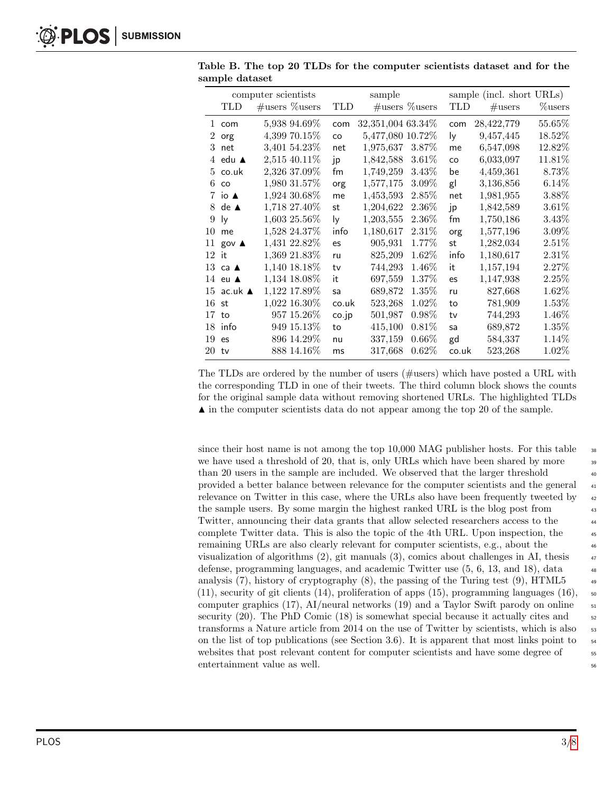|         |                   | computer scientists |       | sample            |          |            | sample (incl. short URLs) |          |
|---------|-------------------|---------------------|-------|-------------------|----------|------------|---------------------------|----------|
|         | TLD               | $\#users$ % users   | TLD   | $\#$ users %users |          | <b>TLD</b> | $\#\text{users}$          | %users   |
|         | 1 com             | 5,938 94.69%        | com   | 32,351,004 63.34% |          | com        | 28,422,779                | 55.65%   |
| $2^{-}$ | org               | 4,399 70.15\%       | CO    | 5,477,080 10.72%  |          | ly.        | 9,457,445                 | 18.52%   |
|         | $3$ net           | 3,401 54.23%        | net   | 1,975,637         | 3.87\%   | me         | 6,547,098                 | 12.82%   |
|         | 4 edu $\triangle$ | 2,515 40.11%        | jp    | 1,842,588         | $3.61\%$ | CO         | 6,033,097                 | 11.81%   |
|         | $5 \;$ co.uk      | 2,326 37.09%        | fm    | 1,749,259         | $3.43\%$ | be         | 4,459,361                 | 8.73%    |
| 6.      | CO                | 1,980 31.57%        | org   | 1,577,175         | $3.09\%$ | gl         | 3,136,856                 | 6.14%    |
|         | 7 io $\triangle$  | 1,924 30.68%        | me    | 1,453,593         | $2.85\%$ | net        | 1,981,955                 | 3.88%    |
| 8.      | $de$ $\triangle$  | 1,718 27.40%        | st    | 1,204,622         | 2.36%    | jp         | 1,842,589                 | 3.61%    |
| 9       | ly                | 1,603 25.56%        | ly    | 1,203,555         | 2.36%    | fm         | 1,750,186                 | 3.43%    |
| 10      | me                | 1,528 24.37%        | info  | 1,180,617         | $2.31\%$ | org        | 1,577,196                 | $3.09\%$ |
| 11      | $gov$ $\triangle$ | 1,431 22.82%        | es    | 905,931           | 1.77%    | st         | 1,282,034                 | $2.51\%$ |
| $12$ it |                   | 1,369 21.83%        | ru    | 825,209           | $1.62\%$ | info       | 1,180,617                 | 2.31%    |
|         | 13 ca $\triangle$ | 1,140 18.18%        | tv    | 744,293           | 1.46\%   | it         | 1,157,194                 | $2.27\%$ |
|         | 14 eu $\triangle$ | 1,134 18.08%        | it    | 697,559           | 1.37\%   | es         | 1,147,938                 | 2.25%    |
| 15      | ac.uk ▲           | 1,122 17.89%        | sa    | 689,872           | $1.35\%$ | ru         | 827,668                   | 1.62%    |
| 16      | st                | 1,022 16.30%        | co.uk | 523,268           | $1.02\%$ | to         | 781,909                   | $1.53\%$ |
| 17      | to                | 957 15.26%          | co.jp | 501,987           | $0.98\%$ | tv         | 744,293                   | 1.46%    |
| 18      | info              | 949 15.13%          | to    | 415,100           | $0.81\%$ | sa         | 689,872                   | $1.35\%$ |
| 19      | es                | 896 14.29%          | nu    | 337,159           | $0.66\%$ | gd         | 584,337                   | 1.14%    |
| 20      | tv                | 888 14.16\%         | ms    | 317,668           | $0.62\%$ | co.uk      | 523,268                   | $1.02\%$ |

<span id="page-2-0"></span>Table B. The top 20 TLDs for the computer scientists dataset and for the sample dataset

The TLDs are ordered by the number of users (#users) which have posted a URL with the corresponding TLD in one of their tweets. The third column block shows the counts for the original sample data without removing shortened URLs. The highlighted TLDs  $\blacktriangle$  in the computer scientists data do not appear among the top 20 of the sample.

since their host name is not among the top  $10,000$  MAG publisher hosts. For this table  $\frac{1}{38}$ we have used a threshold of 20, that is, only URLs which have been shared by more  $\frac{39}{20}$ than 20 users in the sample are included. We observed that the larger threshold  $\frac{40}{40}$ provided a better balance between relevance for the computer scientists and the general <sup>41</sup> relevance on Twitter in this case, where the URLs also have been frequently tweeted by  $\frac{42}{42}$ the sample users. By some margin the highest ranked URL is the blog post from  $\frac{43}{45}$ Twitter, announcing their data grants that allow selected researchers access to the <sup>44</sup> complete Twitter data. This is also the topic of the 4th URL. Upon inspection, the  $450$ remaining URLs are also clearly relevant for computer scientists, e.g., about the  $\frac{46}{46}$ visualization of algorithms  $(2)$ , git manuals  $(3)$ , comics about challenges in AI, thesis  $\frac{47}{47}$ defense, programming languages, and academic Twitter use (5, 6, 13, and 18), data <sup>48</sup> analysis (7), history of cryptography (8), the passing of the Turing test (9), HTML5  $\frac{49}{45}$  $(11)$ , security of git clients  $(14)$ , proliferation of apps  $(15)$ , programming languages  $(16)$ , so computer graphics (17), AI/neural networks (19) and a Taylor Swift parody on online  $\frac{51}{10}$ security  $(20)$ . The PhD Comic  $(18)$  is somewhat special because it actually cites and  $\frac{52}{2}$ transforms a Nature article from 2014 on the use of Twitter by scientists, which is also  $\frac{1}{5}$ on the list of top publications (see Section 3.6). It is apparent that most links point to  $\frac{54}{54}$ websites that post relevant content for computer scientists and have some degree of  $\frac{55}{55}$ entertainment value as well.  $\frac{56}{60}$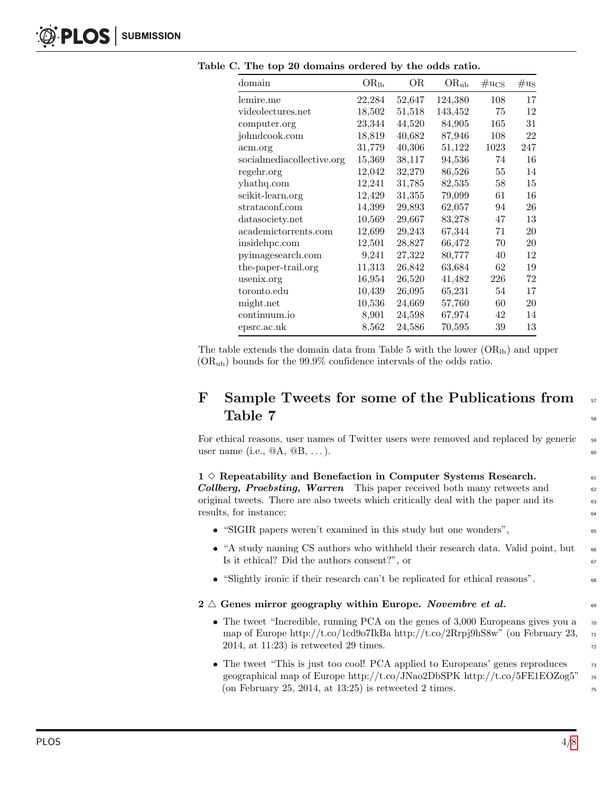| domain                    | $\rm OR_{lb}$ | ΟR     | $OR_{ub}$ | $\mu_{\rm{CS}}$ | $\#u_S$ |
|---------------------------|---------------|--------|-----------|-----------------|---------|
| lemire.me                 | 22,284        | 52,647 | 124,380   | 108             | 17      |
| videolectures.net         | 18,502        | 51,518 | 143,452   | 75              | 12      |
| computer.org              | 23,344        | 44,520 | 84,905    | 165             | 31      |
| johndcook.com             | 18,819        | 40,682 | 87,946    | 108             | 22      |
| acm.org                   | 31,779        | 40,306 | 51,122    | 1023            | 247     |
| socialmediacollective.org | 15,369        | 38,117 | 94,536    | 74              | 16      |
| regehr.org                | 12,042        | 32,279 | 86,526    | 55              | 14      |
| yhathq.com                | 12,241        | 31,785 | 82,535    | 58              | 15      |
| scikit-learn.org          | 12,429        | 31,355 | 79,099    | 61              | 16      |
| strataconf.com            | 14,399        | 29,893 | 62,057    | 94              | 26      |
| datasociety.net           | 10,569        | 29,667 | 83,278    | 47              | 13      |
| academictorrents.com      | 12,699        | 29,243 | 67,344    | 71              | 20      |
| insidehpc.com             | 12,501        | 28,827 | 66,472    | 70              | 20      |
| pyimagesearch.com         | 9,241         | 27,322 | 80,777    | 40              | 12      |
| the-paper-trail.org       | 11,313        | 26,842 | 63,684    | 62              | 19      |
| usenix.org                | 16,954        | 26,520 | 41,482    | 226             | 72      |
| toronto.edu               | 10,439        | 26,095 | 65,231    | 54              | 17      |
| might.net                 | 10,536        | 24,669 | 57,760    | 60              | 20      |
| continuum.io              | 8,901         | 24,598 | 67,974    | 42              | 14      |
| epsrc.ac.uk               | 8,562         | 24,586 | 70,595    | 39              | 13      |

<span id="page-3-0"></span>Table C. The top 20 domains ordered by the odds ratio.

The table extends the domain data from Table 5 with the lower  $(OR<sub>1b</sub>)$  and upper  $(OR<sub>ub</sub>)$  bounds for the 99.9% confidence intervals of the odds ratio.

## F Sample Tweets for some of the Publications from 57  $Table 7$

For ethical reasons, user names of Twitter users were removed and replaced by generic s user name (i.e.,  $@A, @B, \ldots$ ).

# 1  $\diamond$  Repeatability and Benefaction in Computer Systems Research.<br> **Collberg.** Proebsting. Warren This paper received both many retweets and

Collberg, Proebsting, Warren This paper received both many retweets and original tweets. There are also tweets which critically deal with the paper and its 63 results, for instance:  $\frac{64}{64}$ 

- "SIGIR papers weren't examined in this study but one wonders",
- $\bullet$  "A study naming CS authors who withheld their research data. Valid point, but  $\bullet$ Is it ethical? Did the authors consent?", or  $\qquad \qquad \text{67}$
- "Slightly ironic if their research can't be replicated for ethical reasons".

#### $2 \triangle$  Genes mirror geography within Europe. Novembre et al.

- The tweet "Incredible, running PCA on the genes of 3,000 Europeans gives you a  $70$ map of Europe http://t.co/1cd9o7IkBa http://t.co/2Rrpj9hS8w" (on February 23,  $_{71}$ 2014, at  $11:23$ ) is retweeted 29 times.
- $\bullet$  The tweet "This is just too cool! PCA applied to Europeans' genes reproduces  $\qquad \qquad$  73 geographical map of Europe http://t.co/JNao2DbSPK http://t.co/5FE1EOZog5" <sup>74</sup> (on February 25, 2014, at 13:25) is retweeted 2 times.  $\frac{75}{25}$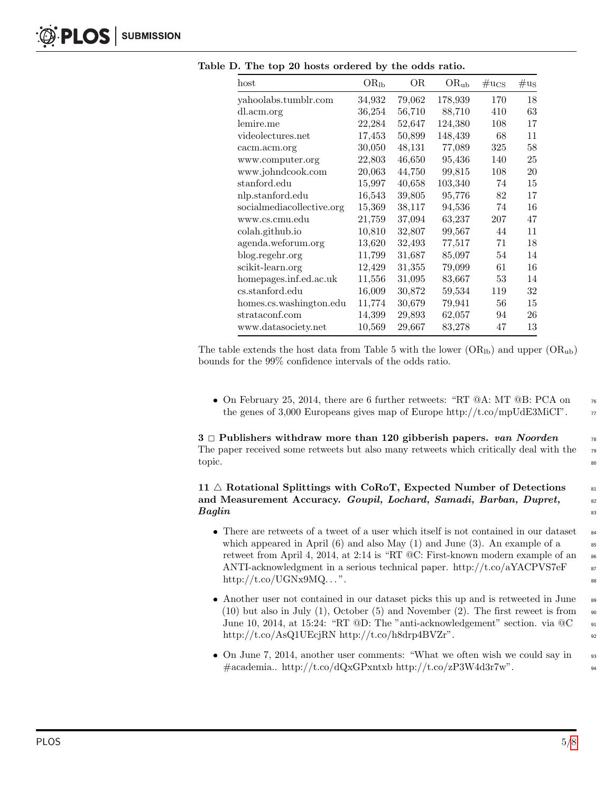| $_{\text{host}}$          | $OR_{lb}$ | ОR     | $\rm OR_{ub}$ | $\mu_{\rm{C}S}$ | $\mu_{\rm us}$ |
|---------------------------|-----------|--------|---------------|-----------------|----------------|
| yahoolabs.tumblr.com      | 34,932    | 79,062 | 178,939       | 170             | 18             |
| dl.acm.org                | 36,254    | 56,710 | 88,710        | 410             | 63             |
| lemire.me                 | 22,284    | 52,647 | 124,380       | 108             | 17             |
| videolectures.net         | 17,453    | 50,899 | 148,439       | 68              | 11             |
| cacm.acm.org              | 30,050    | 48,131 | 77,089        | 325             | 58             |
| www.computer.org          | 22,803    | 46,650 | 95,436        | 140             | 25             |
| www.johndcook.com         | 20,063    | 44,750 | 99,815        | 108             | 20             |
| stanford.edu              | 15,997    | 40,658 | 103,340       | 74              | 15             |
| nlp.stanford.edu          | 16,543    | 39,805 | 95,776        | 82              | 17             |
| socialmediacollective.org | 15,369    | 38,117 | 94,536        | 74              | 16             |
| www.cs.cmu.edu            | 21,759    | 37,094 | 63,237        | 207             | 47             |
| colah.github.io           | 10,810    | 32,807 | 99,567        | 44              | 11             |
| agenda.weforum.org        | 13,620    | 32,493 | 77,517        | 71              | 18             |
| blog.regehr.org           | 11,799    | 31,687 | 85,097        | 54              | 14             |
| scikit-learn.org          | 12,429    | 31,355 | 79,099        | 61              | 16             |
| homepages.inf.ed.ac.uk    | 11,556    | 31,095 | 83,667        | 53              | 14             |
| cs.stanford.edu           | 16,009    | 30,872 | 59,534        | 119             | 32             |
| homes.cs.washington.edu   | 11,774    | 30,679 | 79,941        | 56              | 15             |
| strataconf.com            | 14,399    | 29,893 | 62,057        | 94              | 26             |
| www.datasociety.net       | 10,569    | 29,667 | 83,278        | 47              | 13             |

<span id="page-4-0"></span>Table D. The top 20 hosts ordered by the odds ratio.

The table extends the host data from Table 5 with the lower  $(OR_{lb})$  and upper  $(OR_{ub})$ bounds for the 99% confidence intervals of the odds ratio.

• On February 25, 2014, there are 6 further retweets: "RT  $@A$ : MT  $@B$ : PCA on  $76$ the genes of 3,000 Europeans gives map of Europe http://t.co/mpUdE3MiCI".  $\pi$ 

3  $\Box$  Publishers withdraw more than 120 gibberish papers. van Noorden  $\Box$ <br>The paper received some retweets but also many retweets which critically deal with the  $\Box$ The paper received some retweets but also many retweets which critically deal with the topic. And the set of the set of the set of the set of the set of the set of the set of the set of the set of the set of the set of the set of the set of the set of the set of the set of the set of the set of the set of th

#### 11  $\triangle$  Rotational Splittings with CoRoT, Expected Number of Detections  $\frac{81}{100}$ and Measurement Accuracy. Goupil, Lochard, Samadi, Barban, Dupret, 82  $\boldsymbol{Baglin}$  and  $\boldsymbol{S}$  and  $\boldsymbol{S}$  are proposed by  $\boldsymbol{S}$  and  $\boldsymbol{S}$  are proposed by  $\boldsymbol{S}$  and  $\boldsymbol{S}$  are proposed by  $\boldsymbol{S}$  and  $\boldsymbol{S}$  are proposed by  $\boldsymbol{S}$  and  $\boldsymbol{S}$  are proposed by  $\boldsymbol{S}$  and  $\boldsymbol$

- $\bullet$  There are retweets of a tweet of a user which itself is not contained in our dataset  $\bullet$ which appeared in April  $(6)$  and also May  $(1)$  and June  $(3)$ . An example of a retweet from April 4, 2014, at 2:14 is "RT  $@C:$  First-known modern example of an  $\epsilon$ ANTI-acknowledgment in a serious technical paper. http://t.co/aYACPVS7eF  $\qquad$  87  $\text{http://t.co/UGNx9MQ...".}$
- Another user not contained in our dataset picks this up and is retweeted in June 89  $(10)$  but also in July  $(1)$ , October  $(5)$  and November  $(2)$ . The first reweet is from  $\Box$ June 10, 2014, at 15:24: "RT @D: The "anti-acknowledgement" section. via  $@C$  91 http://t.co/AsQ1UEcjRN http://t.co/h8drp4BVZr".
- On June 7, 2014, another user comments: "What we often wish we could say in 93  $\# \text{academia.} \text{ http://t.co/dQxGPxntxb http://t.co/zP3W4d3r7w".$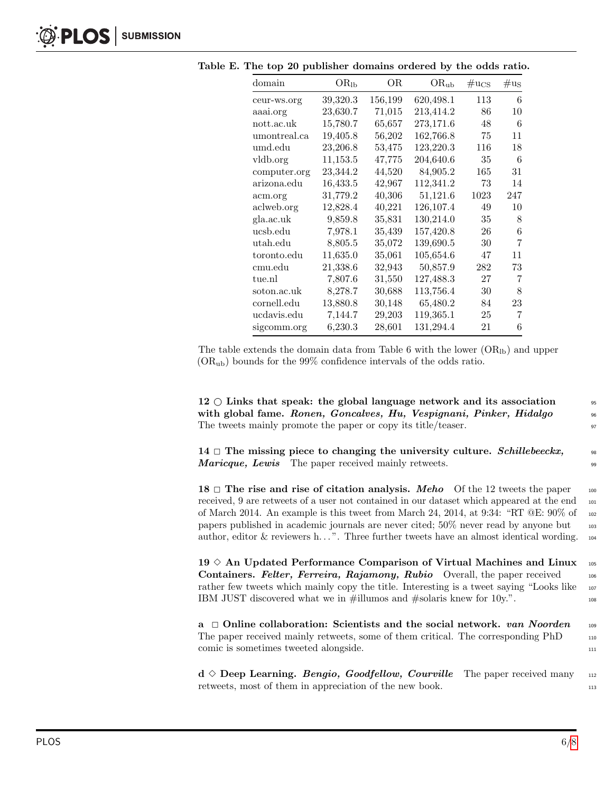| domain       | $OR_{lb}$ | OR.     | $OR_{ub}$ | $\mu_{\rm{CS}}$ | $\mu_{\rm us}$ |
|--------------|-----------|---------|-----------|-----------------|----------------|
| ceur-ws.org  | 39,320.3  | 156,199 | 620,498.1 | 113             | 6              |
| aaai.org     | 23,630.7  | 71,015  | 213,414.2 | 86              | 10             |
| nott.ac.uk   | 15,780.7  | 65,657  | 273,171.6 | 48              | 6              |
| umontreal.ca | 19,405.8  | 56,202  | 162,766.8 | 75              | 11             |
| umd.edu      | 23,206.8  | 53,475  | 123,220.3 | 116             | 18             |
| vldb.org     | 11,153.5  | 47,775  | 204,640.6 | 35              | 6              |
| computer.org | 23,344.2  | 44,520  | 84,905.2  | 165             | 31             |
| arizona.edu  | 16,433.5  | 42,967  | 112,341.2 | 73              | 14             |
| acm.org      | 31,779.2  | 40,306  | 51,121.6  | 1023            | 247            |
| aclweb.org   | 12,828.4  | 40,221  | 126,107.4 | 49              | 10             |
| gla.ac.uk    | 9,859.8   | 35,831  | 130,214.0 | 35              | 8              |
| ucsb.edu     | 7,978.1   | 35,439  | 157,420.8 | 26              | 6              |
| utah.edu     | 8,805.5   | 35,072  | 139,690.5 | 30              | 7              |
| toronto.edu  | 11,635.0  | 35,061  | 105,654.6 | 47              | 11             |
| cmu.edu      | 21,338.6  | 32,943  | 50,857.9  | 282             | 73             |
| tue.nl       | 7,807.6   | 31,550  | 127,488.3 | 27              | 7              |
| soton.ac.uk  | 8,278.7   | 30,688  | 113,756.4 | 30              | 8              |
| cornell.edu  | 13,880.8  | 30,148  | 65,480.2  | 84              | 23             |
| ucdavis.edu  | 7,144.7   | 29,203  | 119,365.1 | 25              | 7              |
| sigcomm.org  | 6,230.3   | 28,601  | 131,294.4 | 21              | 6              |

<span id="page-5-0"></span>Table E. The top 20 publisher domains ordered by the odds ratio.

The table extends the domain data from Table 6 with the lower  $(OR<sub>1b</sub>)$  and upper  $(OR<sub>ub</sub>)$  bounds for the 99% confidence intervals of the odds ratio.

12  $\circ$  Links that speak: the global language network and its association  $\overline{\phantom{0}}$  ss with global fame. Ronen, Goncalves, Hu, Vespignani, Pinker, Hidalgo  $\frac{96}{96}$ The tweets mainly promote the paper or copy its title/teaser.  $\frac{97}{200}$ 

14  $\Box$  The missing piece to changing the university culture. Schillebeeckx,  $\Box$ Maricque, Lewis The paper received mainly retweets.

**18**  $\Box$  **The rise and rise of citation analysis.** *Meho* Of the 12 tweets the paper 100 received. 9 are retweets of a user not contained in our dataset which appeared at the end received, 9 are retweets of a user not contained in our dataset which appeared at the end of March 2014. An example is this tweet from March 24, 2014, at 9:34: "RT  $@E: 90\%$  of 102 papers published in academic journals are never cited;  $50\%$  never read by anyone but  $_{103}$ author, editor & reviewers h...". Three further tweets have an almost identical wording.  $_{104}$ 

19  $\diamond$  An Updated Performance Comparison of Virtual Machines and Linux  $\frac{105}{106}$ <br>Containers. Felter. Ferreira. Raiamonu. Rubio Overall, the paper received Containers. Felter, Ferreira, Rajamony, Rubio Overall, the paper received rather few tweets which mainly copy the title. Interesting is a tweet saying "Looks like 107 IBM JUST discovered what we in  $\#\text{illumos}$  and  $\#\text{solaris}$  knew for 10y.".

**a**  $\Box$  **Online collaboration: Scientists and the social network. van Noorden** 109<br>The paper received mainly retweets, some of them critical. The corresponding PhD The paper received mainly retweets, some of them critical. The corresponding PhD comic is sometimes tweeted alongside. 111

 $d \diamond$  **Deep Learning.** Bengio, Goodfellow, Courville The paper received many 112<br>retweets, most of them in appreciation of the new book. retweets, most of them in appreciation of the new book.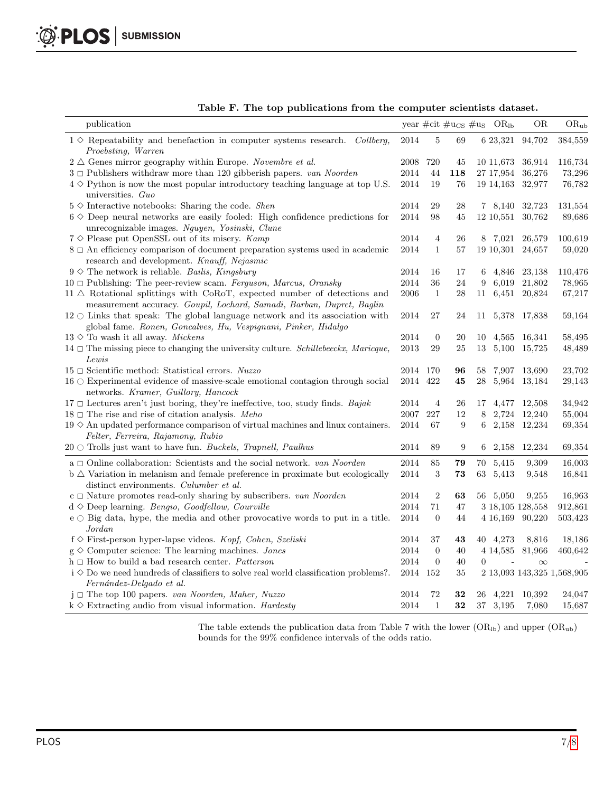| publication                                                                                                                                                 |          |                  |            |                | year #cit # $u_{CS}$ # $u_S$ OR <sub>lb</sub> | <b>OR</b>          | $OR_{ub}$                  |
|-------------------------------------------------------------------------------------------------------------------------------------------------------------|----------|------------------|------------|----------------|-----------------------------------------------|--------------------|----------------------------|
| $1 \diamond$ Repeatability and benefaction in computer systems research. Collberg,<br>Proebsting, Warren                                                    | 2014     | 5                | 69         |                |                                               | 6 23,321 94,702    | 384,559                    |
| $2 \triangle$ Genes mirror geography within Europe. Novembre et al.                                                                                         | 2008     | 720              | 45         |                | 10 11,673                                     | 36,914             | 116,734                    |
| $3 \Box$ Publishers withdraw more than 120 gibberish papers. van Noorden                                                                                    | 2014     | 44               | 118        |                | 27 17,954                                     | 36,276             | 73,296                     |
| $4 \diamond$ Python is now the most popular introductory teaching language at top U.S.<br>universities. Guo                                                 | 2014     | 19               | 76         |                |                                               | 19 14, 163 32, 977 | 76,782                     |
| $5 \diamond$ Interactive notebooks: Sharing the code. Shen                                                                                                  | 2014     | 29               | 28         |                |                                               | 7 8,140 32,723     | 131,554                    |
| $6 \diamond 0$ Deep neural networks are easily fooled: High confidence predictions for<br>unrecognizable images. Nguyen, Yosinski, Clune                    | 2014     | 98               | 45         |                |                                               | 12 10,551 30,762   | 89,686                     |
| $7 \diamond$ Please put OpenSSL out of its misery. Kamp                                                                                                     | 2014     | $\overline{4}$   | 26         |                | 8 7,021                                       | 26,579             | 100,619                    |
| $8 \Box$ An efficiency comparison of document preparation systems used in academic<br>research and development. Knauff, Nejasmic                            | 2014     | $\mathbf{1}$     | 57         |                |                                               | 19 10,301 24,657   | 59,020                     |
| $9 \diamond$ The network is reliable. Bailis, Kingsbury                                                                                                     | 2014     | 16               | 17         |                |                                               | 6 4,846 23,138     | 110,476                    |
| $10 \Box$ Publishing: The peer-review scam. Ferguson, Marcus, Oransky                                                                                       | 2014     | 36               | 24         | 9              |                                               | 6,019 21,802       | 78,965                     |
| $11 \triangle$ Rotational splittings with CoRoT, expected number of detections and<br>measurement accuracy. Goupil, Lochard, Samadi, Barban, Dupret, Baglin | 2006     | $\mathbf{1}$     | 28         |                |                                               | 11 6,451 20,824    | 67,217                     |
| $12 \circ$ Links that speak: The global language network and its association with<br>global fame. Ronen, Goncalves, Hu, Vespignani, Pinker, Hidalgo         | 2014     | 27               | 24         | 11             |                                               | 5,378 17,838       | 59,164                     |
| $13 \diamond$ To wash it all away. <i>Mickens</i>                                                                                                           | 2014     | $\overline{0}$   | 20         | 10             |                                               | 4,565 16,341       | 58,495                     |
| 14 $\Box$ The missing piece to changing the university culture. Schillebeeckx, Maricque,<br>Lewis                                                           | 2013     | 29               | 25         | 13             |                                               | 5,100 15,725       | 48,489                     |
| $15 \Box$ Scientific method: Statistical errors. Nuzzo                                                                                                      | 2014 170 |                  | 96         | 58             |                                               | 7,907 13,690       | 23,702                     |
| $16\,\odot$ Experimental evidence of massive-scale emotional contagion through social<br>networks. Kramer, Guillory, Hancock                                | 2014 422 |                  | 45         | 28             |                                               | 5,964 13,184       | 29,143                     |
| $17 \Box$ Lectures aren't just boring, they're ineffective, too, study finds. Bajak                                                                         | 2014     | $\overline{4}$   | 26         | 17             |                                               | 4,477 12,508       | 34,942                     |
| $18 \Box$ The rise and rise of citation analysis. Meho                                                                                                      | 2007     | 227              | 12         | 8              |                                               | 2,724 12,240       | 55,004                     |
| $19 \diamond A$ n updated performance comparison of virtual machines and linux containers.<br>Felter, Ferreira, Rajamony, Rubio                             | 2014     | 67               | 9          | 6              |                                               | 2,158 12,234       | 69,354                     |
| $20 \circ$ Trolls just want to have fun. Buckels, Trapnell, Paulhus                                                                                         | 2014     | 89               | 9          |                | $6\quad 2,158$                                | 12,234             | 69,354                     |
| a $\Box$ Online collaboration: Scientists and the social network. van Noorden                                                                               | 2014     | 85               | 79         |                | 70 5,415                                      | 9,309              | 16,003                     |
| $b \triangle$ Variation in melanism and female preference in proximate but ecologically<br>distinct environments. Culumber et al.                           | $\,2014$ | 3                | ${\bf 73}$ |                | 63 5,413                                      | 9,548              | 16,841                     |
| $c \Box$ Nature promotes read-only sharing by subscribers. van Noorden                                                                                      | 2014     | 2                | 63         |                | 56 5,050                                      | 9,255              | 16,963                     |
| $d \diamond$ Deep learning. Bengio, Goodfellow, Courville                                                                                                   | 2014     | 71               | 47         |                |                                               | 3 18,105 128,558   | 912,861                    |
| $e \circ B$ ig data, hype, the media and other provocative words to put in a title.<br>Jordan                                                               | 2014     | $\overline{0}$   | 44         |                |                                               | 4 16,169 90,220    | 503,423                    |
| $f \diamond$ First-person hyper-lapse videos. Kopf, Cohen, Szeliski                                                                                         | 2014     | 37               | 43         |                | 40 4,273                                      | 8,816              | 18,186                     |
| $g \diamond$ Computer science: The learning machines. <i>Jones</i>                                                                                          | 2014     | $\boldsymbol{0}$ | 40         |                |                                               | 4 14,585 81,966    | 460,642                    |
| $h \square$ How to build a bad research center. Patterson                                                                                                   | 2014     | $\boldsymbol{0}$ | 40         | $\overline{0}$ |                                               | $\infty$           |                            |
| $i \diamond D$ owe need hundreds of classifiers to solve real world classification problems?.<br>Fernández-Delgado et al.                                   | 2014 152 |                  | 35         |                |                                               |                    | 2 13,093 143,325 1,568,905 |
| $j \Box$ The top 100 papers. van Noorden, Maher, Nuzzo                                                                                                      | 2014     | 72               | 32         |                | 26 4,221                                      | 10,392             | 24,047                     |
| $k \diamond$ Extracting audio from visual information. Hardesty                                                                                             | 2014     | $\mathbf{1}$     | 32         |                | 37 3,195                                      | 7,080              | 15,687                     |

<span id="page-6-0"></span>Table F. The top publications from the computer scientists dataset.

The table extends the publication data from Table 7 with the lower  $(OR<sub>lb</sub>)$  and upper  $(OR<sub>ub</sub>)$ bounds for the 99% confidence intervals of the odds ratio.